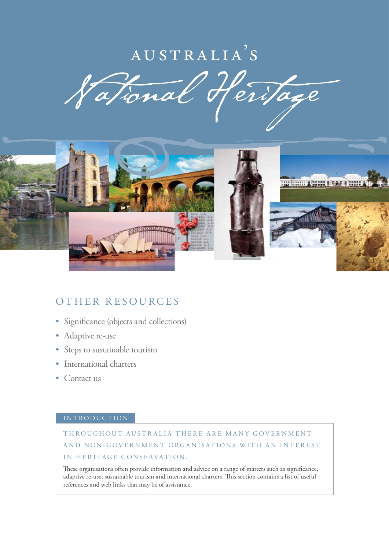# AUSTRALIA'S

ational Héritage  $\mathscr{N}$ 



# OTHER RESOURCES

- Significance (objects and collections)
- Adaptive re-use
- Steps to sustainable tourism
- International charters
- Contact us

#### INTRODUCTION

### THROUGHOUT AUSTRALIA THERE ARE MANY GOVERNMENT AND NON-GOVERNMENT ORGANISATIONS WITH AN INTEREST IN HERITAGE CONSERVATION.

These organisations often provide information and advice on a range of matters such as significance, adaptive re-use, sustainable tourism and international charters. This section contains a list of useful references and web links that may be of assistance.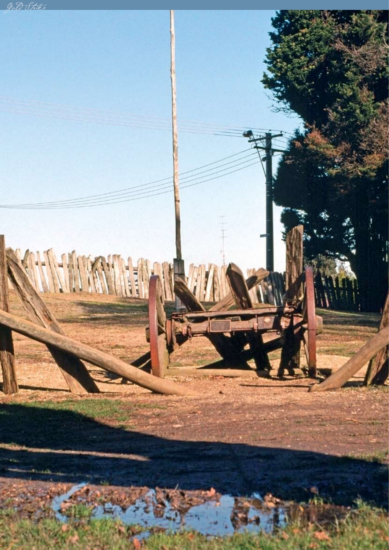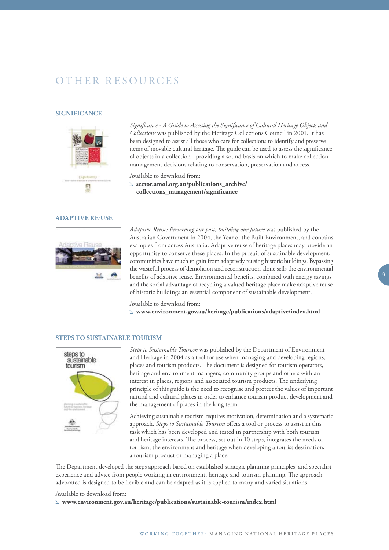#### **Significance**



*Significance - A Guide to Assessing the Significance of Cultural Heritage Objects and Collections* was published by the Heritage Collections Council in 2001. It has been designed to assist all those who care for collections to identify and preserve items of movable cultural heritage. The guide can be used to assess the significance of objects in a collection - providing a sound basis on which to make collection management decisions relating to conservation, preservation and access.

Available to download from:

 **sector.amol.org.au/publications\_archive/ collections\_management/significance**

#### **Adaptive re-use**



*Adaptive Reuse: Preserving our past, building our future* was published by the Australian Government in 2004, the Year of the Built Environment, and contains examples from across Australia. Adaptive reuse of heritage places may provide an opportunity to conserve these places. In the pursuit of sustainable development, communities have much to gain from adaptively reusing historic buildings. Bypassing the wasteful process of demolition and reconstruction alone sells the environmental benefits of adaptive reuse. Environmental benefits, combined with energy savings and the social advantage of recycling a valued heritage place make adaptive reuse of historic buildings an essential component of sustainable development.

 $\mathfrak{z}$ 

Available to download from:  **www.environment.gov.au/heritage/publications/adaptive/index.html**

#### **Steps to sustainable tourism**



*Steps to Sustainable Tourism* was published by the Department of Environment and Heritage in 2004 as a tool for use when managing and developing regions, places and tourism products. The document is designed for tourism operators, heritage and environment managers, community groups and others with an interest in places, regions and associated tourism products. The underlying principle of this guide is the need to recognise and protect the values of important natural and cultural places in order to enhance tourism product development and the management of places in the long term.

Achieving sustainable tourism requires motivation, determination and a systematic approach. *Steps to Sustainable Tourism* offers a tool or process to assist in this task which has been developed and tested in partnership with both tourism and heritage interests. The process, set out in 10 steps, integrates the needs of tourism, the environment and heritage when developing a tourist destination, a tourism product or managing a place.

The Department developed the steps approach based on established strategic planning principles, and specialist experience and advice from people working in environment, heritage and tourism planning. The approach advocated is designed to be flexible and can be adapted as it is applied to many and varied situations.

Available to download from:

 **www.environment.gov.au/heritage/publications/sustainable-tourism/index.html**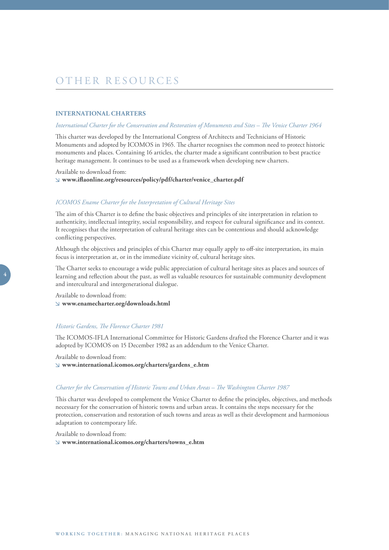#### **international charters**

#### *International Charter for the Conservation and Restoration of Monuments and Sites – The Venice Charter 1964*

This charter was developed by the International Congress of Architects and Technicians of Historic Monuments and adopted by ICOMOS in 1965. The charter recognises the common need to protect historic monuments and places. Containing 16 articles, the charter made a significant contribution to best practice heritage management. It continues to be used as a framework when developing new charters.

Available to download from:

 **www.iflaonline.org/resources/policy/pdf/charter/venice\_charter.pdf**

#### *ICOMOS Ename Charter for the Interpretation of Cultural Heritage Sites*

The aim of this Charter is to define the basic objectives and principles of site interpretation in relation to authenticity, intellectual integrity, social responsibility, and respect for cultural significance and its context. It recognises that the interpretation of cultural heritage sites can be contentious and should acknowledge conflicting perspectives.

Although the objectives and principles of this Charter may equally apply to off-site interpretation, its main focus is interpretation at, or in the immediate vicinity of, cultural heritage sites.

The Charter seeks to encourage a wide public appreciation of cultural heritage sites as places and sources of learning and reflection about the past, as well as valuable resources for sustainable community development and intercultural and intergenerational dialogue.

Available to download from:  **www.enamecharter.org/downloads.html**

#### *Historic Gardens, The Florence Charter 1981*

The ICOMOS-IFLA International Committee for Historic Gardens drafted the Florence Charter and it was adopted by ICOMOS on 15 December 1982 as an addendum to the Venice Charter.

Available to download from:

 **www.international.icomos.org/charters/gardens\_e.htm**

#### *Charter for the Conservation of Historic Towns and Urban Areas – The Washington Charter 1987*

This charter was developed to complement the Venice Charter to define the principles, objectives, and methods necessary for the conservation of historic towns and urban areas. It contains the steps necessary for the protection, conservation and restoration of such towns and areas as well as their development and harmonious adaptation to contemporary life.

Available to download from:  **www.international.icomos.org/charters/towns\_e.htm**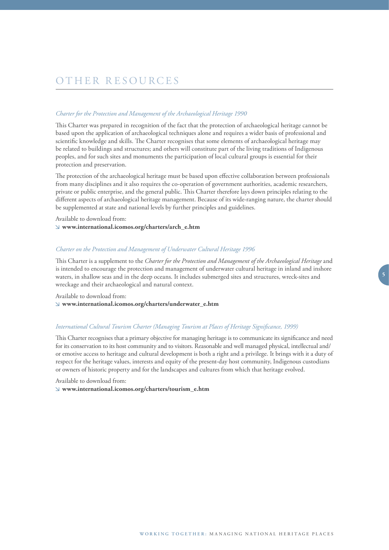#### *Charter for the Protection and Management of the Archaeological Heritage 1990*

This Charter was prepared in recognition of the fact that the protection of archaeological heritage cannot be based upon the application of archaeological techniques alone and requires a wider basis of professional and scientific knowledge and skills. The Charter recognises that some elements of archaeological heritage may be related to buildings and structures; and others will constitute part of the living traditions of Indigenous peoples, and for such sites and monuments the participation of local cultural groups is essential for their protection and preservation.

The protection of the archaeological heritage must be based upon effective collaboration between professionals from many disciplines and it also requires the co-operation of government authorities, academic researchers, private or public enterprise, and the general public. This Charter therefore lays down principles relating to the different aspects of archaeological heritage management. Because of its wide-ranging nature, the charter should be supplemented at state and national levels by further principles and guidelines.

Available to download from:  **www.international.icomos.org/charters/arch\_e.htm**

#### *Charter on the Protection and Management of Underwater Cultural Heritage 1996*

This Charter is a supplement to the *Charter for the Protection and Management of the Archaeological Heritage* and is intended to encourage the protection and management of underwater cultural heritage in inland and inshore waters, in shallow seas and in the deep oceans. It includes submerged sites and structures, wreck-sites and wreckage and their archaeological and natural context.

Available to download from:

 **www.international.icomos.org/charters/underwater\_e.htm**

#### *International Cultural Tourism Charter (Managing Tourism at Places of Heritage Significance, 1999)*

This Charter recognises that a primary objective for managing heritage is to communicate its significance and need for its conservation to its host community and to visitors. Reasonable and well managed physical, intellectual and/ or emotive access to heritage and cultural development is both a right and a privilege. It brings with it a duty of respect for the heritage values, interests and equity of the present-day host community, Indigenous custodians or owners of historic property and for the landscapes and cultures from which that heritage evolved.

Available to download from:

 **www.international.icomos.org/charters/tourism\_e.htm**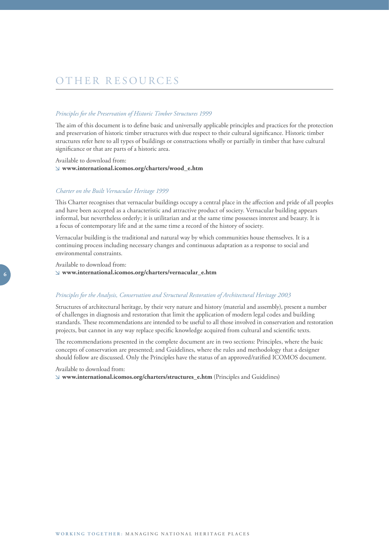#### *Principles for the Preservation of Historic Timber Structures 1999*

The aim of this document is to define basic and universally applicable principles and practices for the protection and preservation of historic timber structures with due respect to their cultural significance. Historic timber structures refer here to all types of buildings or constructions wholly or partially in timber that have cultural significance or that are parts of a historic area.

Available to download from:

 **www.international.icomos.org/charters/wood\_e.htm**

#### *Charter on the Built Vernacular Heritage 1999*

This Charter recognises that vernacular buildings occupy a central place in the affection and pride of all peoples and have been accepted as a characteristic and attractive product of society. Vernacular building appears informal, but nevertheless orderly; it is utilitarian and at the same time possesses interest and beauty. It is a focus of contemporary life and at the same time a record of the history of society.

Vernacular building is the traditional and natural way by which communities house themselves. It is a continuing process including necessary changes and continuous adaptation as a response to social and environmental constraints.

Available to download from:

 **www.international.icomos.org/charters/vernacular\_e.htm**

#### *Principles for the Analysis, Conservation and Structural Restoration of Architectural Heritage 2003*

Structures of architectural heritage, by their very nature and history (material and assembly), present a number of challenges in diagnosis and restoration that limit the application of modern legal codes and building standards. These recommendations are intended to be useful to all those involved in conservation and restoration projects, but cannot in any way replace specific knowledge acquired from cultural and scientific texts.

The recommendations presented in the complete document are in two sections: Principles, where the basic concepts of conservation are presented; and Guidelines, where the rules and methodology that a designer should follow are discussed. Only the Principles have the status of an approved/ratified ICOMOS document.

Available to download from:

 **www.international.icomos.org/charters/structures\_e.htm** (Principles and Guidelines)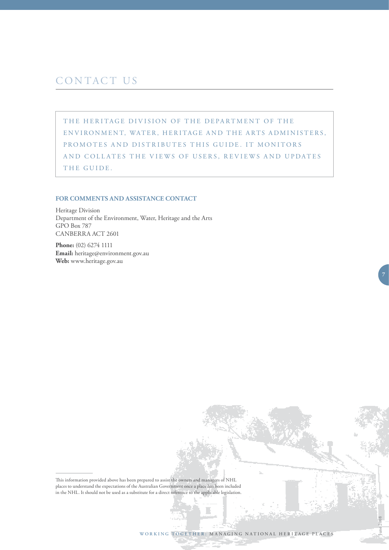# CONTACT US

THE HERITAGE DIVISION OF THE DEPARTMENT OF THE ENVIRONMENT, WATER, HERITAGE AND THE ARTS ADMINISTERS, PROMOTES AND DISTRIBUTES THIS GUIDE. IT MONITORS AND COLLATES THE VIEWS OF USERS, REVIEWS AND UPDATES THE GUIDE.

#### **For comments and assistance contact**

Heritage Division Department of the Environment, Water, Heritage and the Arts GPO Box 787 CANBERRA ACT 2601

**Phone:** (02) 6274 1111 **Email:** heritage@environment.gov.au **Web:** www.heritage.gov.au

7

June 2008

This information provided above has been prepared to assist the owners and managers of NHL places to understand the expectations of the Australian Government once a place has been included in the NHL. It should not be used as a substitute for a direct reference to the applicable legislation.